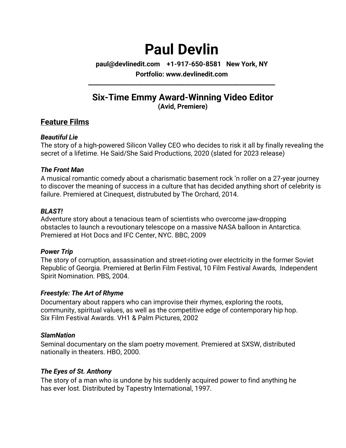# **Paul Devlin**

**paul@devlinedit.com +1-917-650-8581 New York, NY**

**Portfolio: www.devlinedit.com \_\_\_\_\_\_\_\_\_\_\_\_\_\_\_\_\_\_\_\_\_\_\_\_\_\_\_\_\_\_\_\_\_\_\_\_\_\_\_\_\_\_\_\_\_\_\_\_\_\_\_\_\_\_\_\_\_\_\_\_\_\_**

## **Six-Time Emmy Award-Winning Video Editor (Avid, Premiere)**

## **Feature Films**

#### *Beautiful Lie*

The story of a high-powered Silicon Valley CEO who decides to risk it all by finally revealing the secret of a lifetime. He Said/She Said Productions, 2020 (slated for 2023 release)

#### *The Front Man*

A musical romantic comedy about a charismatic basement rock 'n roller on a 27-year journey to discover the meaning of success in a culture that has decided anything short of celebrity is failure. Premiered at Cinequest, distrubuted by The Orchard, 2014.

### *BLAST!*

Adventure story about a tenacious team of scientists who overcome jaw-dropping obstacles to launch a revoutionary telescope on a massive NASA balloon in Antarctica. Premiered at Hot Docs and IFC Center, NYC. BBC, 2009

### *Power Trip*

The story of corruption, assassination and street-rioting over electricity in the former Soviet Republic of Georgia. Premiered at Berlin Film Festival, 10 Film Festival Awards, Independent Spirit Nomination. PBS, 2004.

### *Freestyle: The Art of Rhyme*

Documentary about rappers who can improvise their rhymes, exploring the roots, community, spiritual values, as well as the competitive edge of contemporary hip hop. Six Film Festival Awards. VH1 & Palm Pictures, 2002

### *SlamNation*

Seminal documentary on the slam poetry movement. Premiered at SXSW, distributed nationally in theaters. HBO, 2000.

### *The Eyes of St. Anthony*

The story of a man who is undone by his suddenly acquired power to find anything he has ever lost. Distributed by Tapestry International, 1997.